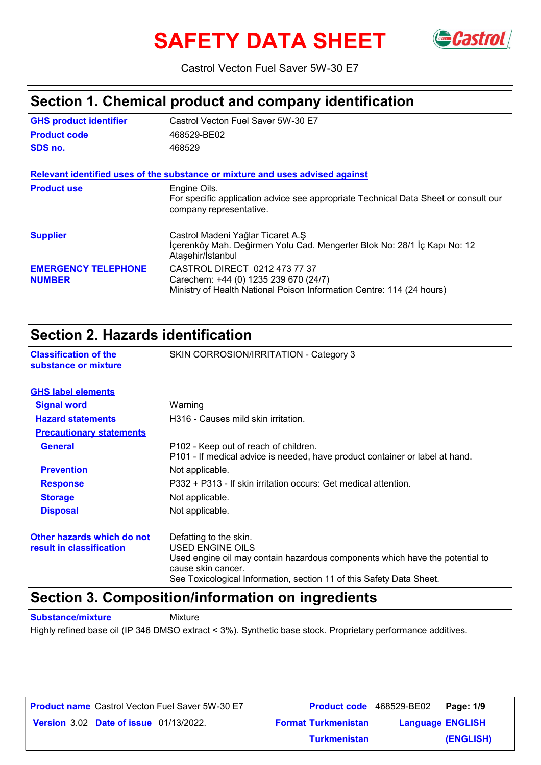# **SAFETY DATA SHEET** GCastrol



Castrol Vecton Fuel Saver 5W-30 E7

# **Section 1. Chemical product and company identification**

| <b>GHS product identifier</b>               | Castrol Vecton Fuel Saver 5W-30 E7                                                                                                              |
|---------------------------------------------|-------------------------------------------------------------------------------------------------------------------------------------------------|
| <b>Product code</b>                         | 468529-BE02                                                                                                                                     |
| SDS no.                                     | 468529                                                                                                                                          |
|                                             | Relevant identified uses of the substance or mixture and uses advised against                                                                   |
| <b>Product use</b>                          | Engine Oils.<br>For specific application advice see appropriate Technical Data Sheet or consult our<br>company representative.                  |
| <b>Supplier</b>                             | Castrol Madeni Yağlar Ticaret A.Ş<br>İçerenköy Mah. Değirmen Yolu Cad. Mengerler Blok No: 28/1 İç Kapı No: 12<br>Ataşehir/İstanbul              |
| <b>EMERGENCY TELEPHONE</b><br><b>NUMBER</b> | CASTROL DIRECT 0212 473 77 37<br>Carechem: +44 (0) 1235 239 670 (24/7)<br>Ministry of Health National Poison Information Centre: 114 (24 hours) |

### **Section 2. Hazards identification**

| OCCHON 4. NGLARAS RIGHTHOGHON                        |                                                                                                                       |
|------------------------------------------------------|-----------------------------------------------------------------------------------------------------------------------|
| <b>Classification of the</b><br>substance or mixture | SKIN CORROSION/IRRITATION - Category 3                                                                                |
| <b>GHS label elements</b>                            |                                                                                                                       |
| <b>Signal word</b>                                   | Warning                                                                                                               |
| <b>Hazard statements</b>                             | H316 - Causes mild skin irritation.                                                                                   |
| <b>Precautionary statements</b>                      |                                                                                                                       |
| <b>General</b>                                       | P102 - Keep out of reach of children.<br>P101 - If medical advice is needed, have product container or label at hand. |
| <b>Prevention</b>                                    | Not applicable.                                                                                                       |
| <b>Response</b>                                      | P332 + P313 - If skin irritation occurs: Get medical attention.                                                       |
| <b>Storage</b>                                       | Not applicable.                                                                                                       |
| <b>Disposal</b>                                      | Not applicable.                                                                                                       |
| Other hazards which do not                           | Defatting to the skin.                                                                                                |
| result in classification                             | USED ENGINE OILS                                                                                                      |
|                                                      | Used engine oil may contain hazardous components which have the potential to<br>cause skin cancer.                    |

See Toxicological Information, section 11 of this Safety Data Sheet.

### **Section 3. Composition/information on ingredients**

**Substance/mixture Mixture** 

Highly refined base oil (IP 346 DMSO extract < 3%). Synthetic base stock. Proprietary performance additives.

| <b>Product name</b> Castrol Vecton Fuel Saver 5W-30 E7 | <b>Product code</b> 468529-BE02 | Page: 1/9               |  |
|--------------------------------------------------------|---------------------------------|-------------------------|--|
| <b>Version 3.02 Date of issue 01/13/2022.</b>          | <b>Format Turkmenistan</b>      | <b>Language ENGLISH</b> |  |
|                                                        | <b>Turkmenistan</b>             | (ENGLISH)               |  |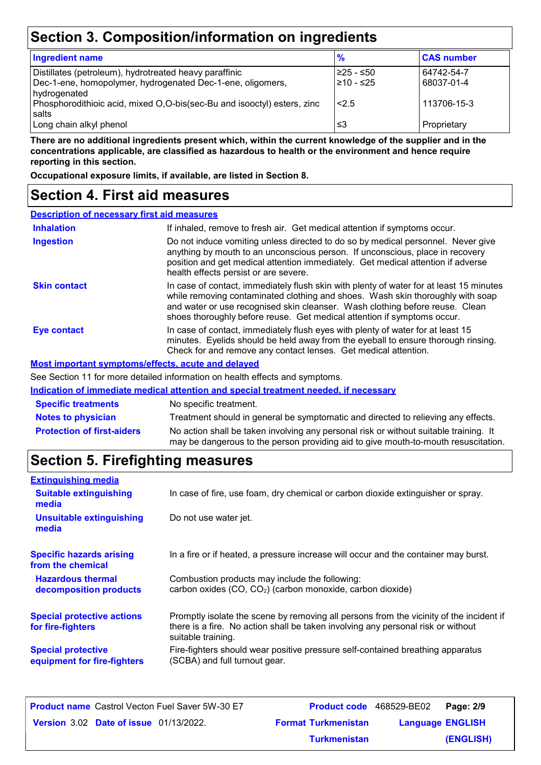# **Section 3. Composition/information on ingredients**

| <b>Ingredient name</b>                                                  | $\frac{9}{6}$ | <b>CAS number</b> |
|-------------------------------------------------------------------------|---------------|-------------------|
| Distillates (petroleum), hydrotreated heavy paraffinic                  | l≥25 - ≤50    | 64742-54-7        |
| Dec-1-ene, homopolymer, hydrogenated Dec-1-ene, oligomers,              | l≥10 - ≤25    | 68037-01-4        |
| hydrogenated                                                            |               |                   |
| Phosphorodithioic acid, mixed O,O-bis(sec-Bu and isooctyl) esters, zinc | 2.5           | 113706-15-3       |
| salts                                                                   |               |                   |
| Long chain alkyl phenol                                                 | ≤3            | Proprietary       |

**There are no additional ingredients present which, within the current knowledge of the supplier and in the concentrations applicable, are classified as hazardous to health or the environment and hence require reporting in this section.**

**Occupational exposure limits, if available, are listed in Section 8.**

### **Section 4. First aid measures**

| <b>Description of necessary first aid measures</b> |                                                                                                                                                                                                                                                                                                                                      |
|----------------------------------------------------|--------------------------------------------------------------------------------------------------------------------------------------------------------------------------------------------------------------------------------------------------------------------------------------------------------------------------------------|
| <b>Inhalation</b>                                  | If inhaled, remove to fresh air. Get medical attention if symptoms occur.                                                                                                                                                                                                                                                            |
| <b>Ingestion</b>                                   | Do not induce vomiting unless directed to do so by medical personnel. Never give<br>anything by mouth to an unconscious person. If unconscious, place in recovery<br>position and get medical attention immediately. Get medical attention if adverse<br>health effects persist or are severe.                                       |
| <b>Skin contact</b>                                | In case of contact, immediately flush skin with plenty of water for at least 15 minutes<br>while removing contaminated clothing and shoes. Wash skin thoroughly with soap<br>and water or use recognised skin cleanser. Wash clothing before reuse. Clean<br>shoes thoroughly before reuse. Get medical attention if symptoms occur. |
| Eye contact                                        | In case of contact, immediately flush eyes with plenty of water for at least 15<br>minutes. Eyelids should be held away from the eyeball to ensure thorough rinsing.<br>Check for and remove any contact lenses. Get medical attention.                                                                                              |
|                                                    | <b>Most important symptoms/effects, acute and delayed</b>                                                                                                                                                                                                                                                                            |
|                                                    | See Section 11 for more detailed information on booth effects and symptoms                                                                                                                                                                                                                                                           |

e Section 11 for more detailed information on health effects and symptoms.

|                                   | Indication of immediate medical attention and special treatment needed, if necessary                                                                                        |
|-----------------------------------|-----------------------------------------------------------------------------------------------------------------------------------------------------------------------------|
| <b>Specific treatments</b>        | No specific treatment.                                                                                                                                                      |
| <b>Notes to physician</b>         | Treatment should in general be symptomatic and directed to relieving any effects.                                                                                           |
| <b>Protection of first-aiders</b> | No action shall be taken involving any personal risk or without suitable training. It<br>may be dangerous to the person providing aid to give mouth-to-mouth resuscitation. |

# **Section 5. Firefighting measures**

| <b>Extinguishing media</b>                               |                                                                                                                                                                                                   |
|----------------------------------------------------------|---------------------------------------------------------------------------------------------------------------------------------------------------------------------------------------------------|
| <b>Suitable extinguishing</b><br>media                   | In case of fire, use foam, dry chemical or carbon dioxide extinguisher or spray.                                                                                                                  |
| <b>Unsuitable extinguishing</b><br>media                 | Do not use water jet.                                                                                                                                                                             |
| <b>Specific hazards arising</b><br>from the chemical     | In a fire or if heated, a pressure increase will occur and the container may burst.                                                                                                               |
| <b>Hazardous thermal</b><br>decomposition products       | Combustion products may include the following:<br>carbon oxides (CO, CO <sub>2</sub> ) (carbon monoxide, carbon dioxide)                                                                          |
| <b>Special protective actions</b><br>for fire-fighters   | Promptly isolate the scene by removing all persons from the vicinity of the incident if<br>there is a fire. No action shall be taken involving any personal risk or without<br>suitable training. |
| <b>Special protective</b><br>equipment for fire-fighters | Fire-fighters should wear positive pressure self-contained breathing apparatus<br>(SCBA) and full turnout gear.                                                                                   |

| <b>Product name</b> Castrol Vecton Fuel Saver 5W-30 E7 | <b>Product code</b> 468529-BE02 |                         | Page: 2/9 |
|--------------------------------------------------------|---------------------------------|-------------------------|-----------|
| <b>Version 3.02 Date of issue 01/13/2022.</b>          | <b>Format Turkmenistan</b>      | <b>Language ENGLISH</b> |           |
|                                                        | <b>Turkmenistan</b>             |                         | (ENGLISH) |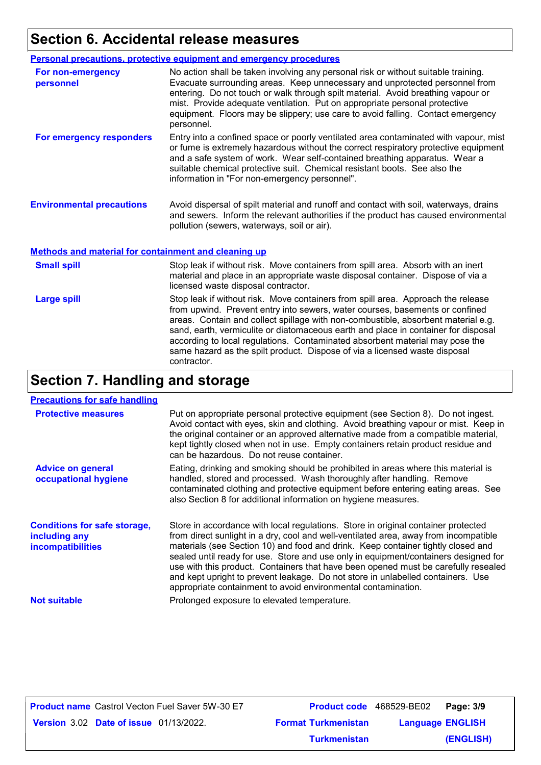# **Section 6. Accidental release measures**

|                                                             | <b>Personal precautions, protective equipment and emergency procedures</b>                                                                                                                                                                                                                                                                                                                                                           |
|-------------------------------------------------------------|--------------------------------------------------------------------------------------------------------------------------------------------------------------------------------------------------------------------------------------------------------------------------------------------------------------------------------------------------------------------------------------------------------------------------------------|
| For non-emergency<br>personnel                              | No action shall be taken involving any personal risk or without suitable training.<br>Evacuate surrounding areas. Keep unnecessary and unprotected personnel from<br>entering. Do not touch or walk through spilt material. Avoid breathing vapour or<br>mist. Provide adequate ventilation. Put on appropriate personal protective<br>equipment. Floors may be slippery; use care to avoid falling. Contact emergency<br>personnel. |
| For emergency responders                                    | Entry into a confined space or poorly ventilated area contaminated with vapour, mist<br>or fume is extremely hazardous without the correct respiratory protective equipment<br>and a safe system of work. Wear self-contained breathing apparatus. Wear a<br>suitable chemical protective suit. Chemical resistant boots. See also the<br>information in "For non-emergency personnel".                                              |
| <b>Environmental precautions</b>                            | Avoid dispersal of spilt material and runoff and contact with soil, waterways, drains<br>and sewers. Inform the relevant authorities if the product has caused environmental<br>pollution (sewers, waterways, soil or air).                                                                                                                                                                                                          |
| <b>Methods and material for containment and cleaning up</b> |                                                                                                                                                                                                                                                                                                                                                                                                                                      |

| <b>Small spill</b> | Stop leak if without risk. Move containers from spill area. Absorb with an inert<br>material and place in an appropriate waste disposal container. Dispose of via a<br>licensed waste disposal contractor.                                                                                                                                                                                                                                                                                                               |
|--------------------|--------------------------------------------------------------------------------------------------------------------------------------------------------------------------------------------------------------------------------------------------------------------------------------------------------------------------------------------------------------------------------------------------------------------------------------------------------------------------------------------------------------------------|
| <b>Large spill</b> | Stop leak if without risk. Move containers from spill area. Approach the release<br>from upwind. Prevent entry into sewers, water courses, basements or confined<br>areas. Contain and collect spillage with non-combustible, absorbent material e.g.<br>sand, earth, vermiculite or diatomaceous earth and place in container for disposal<br>according to local regulations. Contaminated absorbent material may pose the<br>same hazard as the spilt product. Dispose of via a licensed waste disposal<br>contractor. |

# **Section 7. Handling and storage**

#### **Precautions for safe handling**

| <b>Protective measures</b>                                                       | Put on appropriate personal protective equipment (see Section 8). Do not ingest.<br>Avoid contact with eyes, skin and clothing. Avoid breathing vapour or mist. Keep in<br>the original container or an approved alternative made from a compatible material,<br>kept tightly closed when not in use. Empty containers retain product residue and<br>can be hazardous. Do not reuse container.                                                                                                                                                                                                 |
|----------------------------------------------------------------------------------|------------------------------------------------------------------------------------------------------------------------------------------------------------------------------------------------------------------------------------------------------------------------------------------------------------------------------------------------------------------------------------------------------------------------------------------------------------------------------------------------------------------------------------------------------------------------------------------------|
| <b>Advice on general</b><br>occupational hygiene                                 | Eating, drinking and smoking should be prohibited in areas where this material is<br>handled, stored and processed. Wash thoroughly after handling. Remove<br>contaminated clothing and protective equipment before entering eating areas. See<br>also Section 8 for additional information on hygiene measures.                                                                                                                                                                                                                                                                               |
| <b>Conditions for safe storage,</b><br>including any<br><b>incompatibilities</b> | Store in accordance with local regulations. Store in original container protected<br>from direct sunlight in a dry, cool and well-ventilated area, away from incompatible<br>materials (see Section 10) and food and drink. Keep container tightly closed and<br>sealed until ready for use. Store and use only in equipment/containers designed for<br>use with this product. Containers that have been opened must be carefully resealed<br>and kept upright to prevent leakage. Do not store in unlabelled containers. Use<br>appropriate containment to avoid environmental contamination. |
| <b>Not suitable</b>                                                              | Prolonged exposure to elevated temperature.                                                                                                                                                                                                                                                                                                                                                                                                                                                                                                                                                    |

| <b>Product name</b> Castrol Vecton Fuel Saver 5W-30 E7 | <b>Product code</b> 468529-BE02 | Page: 3/9               |
|--------------------------------------------------------|---------------------------------|-------------------------|
| <b>Version 3.02 Date of issue 01/13/2022.</b>          | <b>Format Turkmenistan</b>      | <b>Language ENGLISH</b> |
|                                                        | <b>Turkmenistan</b>             | (ENGLISH)               |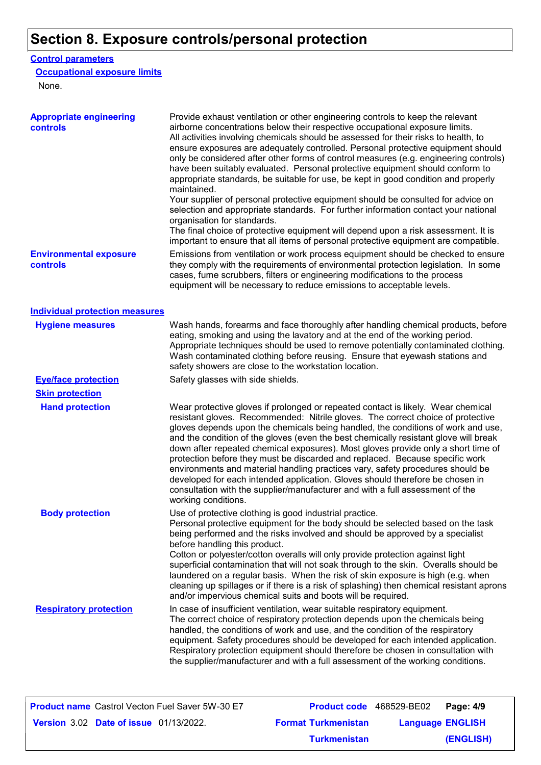# **Section 8. Exposure controls/personal protection**

#### **Control parameters**

#### **Occupational exposure limits**

None.

| <b>Appropriate engineering</b><br>controls | Provide exhaust ventilation or other engineering controls to keep the relevant<br>airborne concentrations below their respective occupational exposure limits.<br>All activities involving chemicals should be assessed for their risks to health, to<br>ensure exposures are adequately controlled. Personal protective equipment should<br>only be considered after other forms of control measures (e.g. engineering controls)<br>have been suitably evaluated. Personal protective equipment should conform to<br>appropriate standards, be suitable for use, be kept in good condition and properly<br>maintained.<br>Your supplier of personal protective equipment should be consulted for advice on<br>selection and appropriate standards. For further information contact your national<br>organisation for standards.<br>The final choice of protective equipment will depend upon a risk assessment. It is |
|--------------------------------------------|------------------------------------------------------------------------------------------------------------------------------------------------------------------------------------------------------------------------------------------------------------------------------------------------------------------------------------------------------------------------------------------------------------------------------------------------------------------------------------------------------------------------------------------------------------------------------------------------------------------------------------------------------------------------------------------------------------------------------------------------------------------------------------------------------------------------------------------------------------------------------------------------------------------------|
| <b>Environmental exposure</b><br>controls  | important to ensure that all items of personal protective equipment are compatible.<br>Emissions from ventilation or work process equipment should be checked to ensure<br>they comply with the requirements of environmental protection legislation. In some<br>cases, fume scrubbers, filters or engineering modifications to the process<br>equipment will be necessary to reduce emissions to acceptable levels.                                                                                                                                                                                                                                                                                                                                                                                                                                                                                                   |
| <b>Individual protection measures</b>      |                                                                                                                                                                                                                                                                                                                                                                                                                                                                                                                                                                                                                                                                                                                                                                                                                                                                                                                        |
| <b>Hygiene measures</b>                    | Wash hands, forearms and face thoroughly after handling chemical products, before<br>eating, smoking and using the lavatory and at the end of the working period.<br>Appropriate techniques should be used to remove potentially contaminated clothing.<br>Wash contaminated clothing before reusing. Ensure that eyewash stations and<br>safety showers are close to the workstation location.                                                                                                                                                                                                                                                                                                                                                                                                                                                                                                                        |
| <b>Eye/face protection</b>                 | Safety glasses with side shields.                                                                                                                                                                                                                                                                                                                                                                                                                                                                                                                                                                                                                                                                                                                                                                                                                                                                                      |
| <b>Skin protection</b>                     |                                                                                                                                                                                                                                                                                                                                                                                                                                                                                                                                                                                                                                                                                                                                                                                                                                                                                                                        |
| <b>Hand protection</b>                     | Wear protective gloves if prolonged or repeated contact is likely. Wear chemical<br>resistant gloves. Recommended: Nitrile gloves. The correct choice of protective<br>gloves depends upon the chemicals being handled, the conditions of work and use,<br>and the condition of the gloves (even the best chemically resistant glove will break<br>down after repeated chemical exposures). Most gloves provide only a short time of<br>protection before they must be discarded and replaced. Because specific work<br>environments and material handling practices vary, safety procedures should be<br>developed for each intended application. Gloves should therefore be chosen in<br>consultation with the supplier/manufacturer and with a full assessment of the<br>working conditions.                                                                                                                        |
| <b>Body protection</b>                     | Use of protective clothing is good industrial practice.<br>Personal protective equipment for the body should be selected based on the task<br>being performed and the risks involved and should be approved by a specialist<br>before handling this product.<br>Cotton or polyester/cotton overalls will only provide protection against light<br>superficial contamination that will not soak through to the skin. Overalls should be<br>laundered on a regular basis. When the risk of skin exposure is high (e.g. when<br>cleaning up spillages or if there is a risk of splashing) then chemical resistant aprons<br>and/or impervious chemical suits and boots will be required.                                                                                                                                                                                                                                  |
| <b>Respiratory protection</b>              | In case of insufficient ventilation, wear suitable respiratory equipment.<br>The correct choice of respiratory protection depends upon the chemicals being<br>handled, the conditions of work and use, and the condition of the respiratory<br>equipment. Safety procedures should be developed for each intended application.<br>Respiratory protection equipment should therefore be chosen in consultation with<br>the supplier/manufacturer and with a full assessment of the working conditions.                                                                                                                                                                                                                                                                                                                                                                                                                  |

| <b>Product name</b> Castrol Vecton Fuel Saver 5W-30 E7 |                            | <b>Product code</b> 468529-BE02 | Page: 4/9 |
|--------------------------------------------------------|----------------------------|---------------------------------|-----------|
| <b>Version 3.02 Date of issue 01/13/2022.</b>          | <b>Format Turkmenistan</b> | <b>Language ENGLISH</b>         |           |
|                                                        | <b>Turkmenistan</b>        |                                 | (ENGLISH) |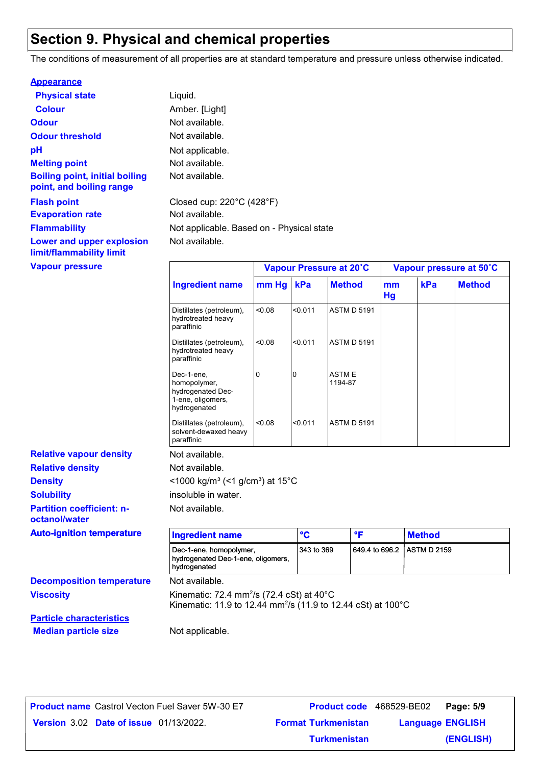# **Section 9. Physical and chemical properties**

The conditions of measurement of all properties are at standard temperature and pressure unless otherwise indicated.

| <b>Appearance</b>                                                 |                                                |                         |
|-------------------------------------------------------------------|------------------------------------------------|-------------------------|
| <b>Physical state</b>                                             | Liquid.                                        |                         |
| <b>Colour</b>                                                     | Amber. [Light]                                 |                         |
| <b>Odour</b>                                                      | Not available.                                 |                         |
| <b>Odour threshold</b>                                            | Not available.                                 |                         |
| рH                                                                | Not applicable.                                |                         |
| <b>Melting point</b>                                              | Not available.                                 |                         |
| <b>Boiling point, initial boiling</b><br>point, and boiling range | Not available.                                 |                         |
| <b>Flash point</b>                                                | Closed cup: $220^{\circ}$ C (428 $^{\circ}$ F) |                         |
| <b>Evaporation rate</b>                                           | Not available.                                 |                         |
| <b>Flammability</b>                                               | Not applicable. Based on - Physical state      |                         |
| Lower and upper explosion<br>limit/flammability limit             | Not available.                                 |                         |
| <b>Vapour pressure</b>                                            |                                                | Vapour Pressure at 20°C |

| <b>Ingredient name</b>                                                               |        |         | Vapour Pressure at 20°C |                 | Vapour pressure at 50°C |               |  |
|--------------------------------------------------------------------------------------|--------|---------|-------------------------|-----------------|-------------------------|---------------|--|
|                                                                                      | mm Hg  | kPa     | <b>Method</b>           | mm<br><b>Hg</b> | kPa                     | <b>Method</b> |  |
| Distillates (petroleum),<br>hydrotreated heavy<br>paraffinic                         | 0.08   | < 0.011 | <b>ASTM D 5191</b>      |                 |                         |               |  |
| Distillates (petroleum),<br>hydrotreated heavy<br>paraffinic                         | 0.08   | < 0.011 | <b>ASTM D 5191</b>      |                 |                         |               |  |
| Dec-1-ene,<br>homopolymer,<br>hydrogenated Dec-<br>1-ene, oligomers,<br>hydrogenated | 0      | l0      | <b>ASTME</b><br>1194-87 |                 |                         |               |  |
| Distillates (petroleum),<br>solvent-dewaxed heavy<br>paraffinic                      | < 0.08 | < 0.011 | <b>ASTM D 5191</b>      |                 |                         |               |  |

Not available.

| octanol/water                    |                                                                                                                                             |              |                |               |
|----------------------------------|---------------------------------------------------------------------------------------------------------------------------------------------|--------------|----------------|---------------|
| <b>Auto-ignition temperature</b> | <b>Ingredient name</b>                                                                                                                      | $\mathbf{C}$ | ۰F             | <b>Method</b> |
|                                  | Dec-1-ene, homopolymer,<br>hydrogenated Dec-1-ene, oligomers,<br>hydrogenated                                                               | 343 to 369   | 649.4 to 696.2 | ASTM D 2159   |
| <b>Decomposition temperature</b> | Not available.                                                                                                                              |              |                |               |
| <b>Viscosity</b>                 | Kinematic: 72.4 mm <sup>2</sup> /s (72.4 cSt) at $40^{\circ}$ C<br>Kinematic: 11.9 to 12.44 mm <sup>2</sup> /s (11.9 to 12.44 cSt) at 100°C |              |                |               |
| <b>Particle characteristics</b>  |                                                                                                                                             |              |                |               |
| <b>Median particle size</b>      | Not applicable.                                                                                                                             |              |                |               |

| <b>Product name</b> Castrol Vecton Fuel Saver 5W-30 E7 | <b>Product code</b> 468529-BE02 |                        | Page: 5 |
|--------------------------------------------------------|---------------------------------|------------------------|---------|
| <b>Version 3.02 Date of issue 01/13/2022.</b>          | <b>Format Turkmenistan</b>      | <b>Language ENGLIS</b> |         |

**Relative density**

**Partition coefficient: n-**

**Relative vapour density**

**Solubility**

**Density** 

|                                  | Castrol Vecton Fuel Saver 5W-30 E7_ | <b>Product code</b> 468529-BE02 |                         | Page: 5/9 |
|----------------------------------|-------------------------------------|---------------------------------|-------------------------|-----------|
| <b>Date of issue</b> 01/13/2022. |                                     | <b>Format Turkmenistan</b>      | <b>Language ENGLISH</b> |           |
|                                  |                                     | <b>Turkmenistan</b>             |                         | (ENGLISH) |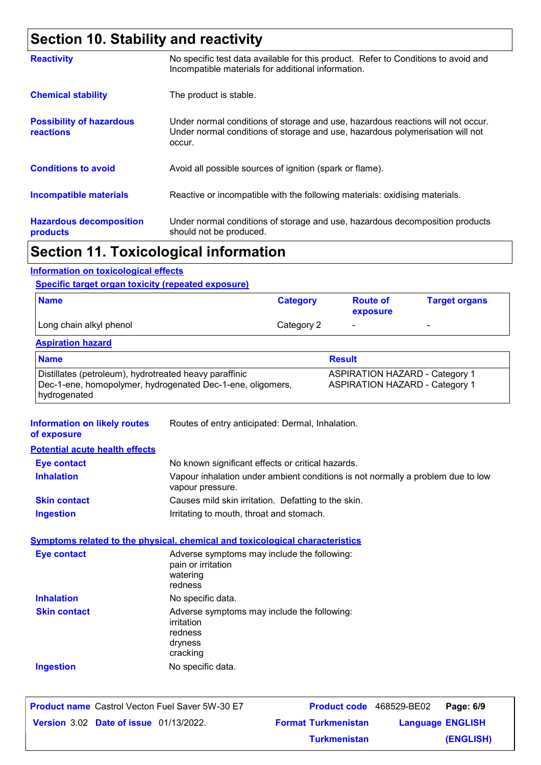# **Section 10. Stability and reactivity**

| <b>Reactivity</b>                                   | No specific test data available for this product. Refer to Conditions to avoid and<br>Incompatible materials for additional information.                                   |
|-----------------------------------------------------|----------------------------------------------------------------------------------------------------------------------------------------------------------------------------|
| <b>Chemical stability</b>                           | The product is stable.                                                                                                                                                     |
| <b>Possibility of hazardous</b><br><b>reactions</b> | Under normal conditions of storage and use, hazardous reactions will not occur.<br>Under normal conditions of storage and use, hazardous polymerisation will not<br>occur. |
| <b>Conditions to avoid</b>                          | Avoid all possible sources of ignition (spark or flame).                                                                                                                   |
| <b>Incompatible materials</b>                       | Reactive or incompatible with the following materials: oxidising materials.                                                                                                |
| <b>Hazardous decomposition</b><br>products          | Under normal conditions of storage and use, hazardous decomposition products<br>should not be produced.                                                                    |
|                                                     |                                                                                                                                                                            |

### **Section 11. Toxicological information**

#### **Information on toxicological effects**

#### **Specific target organ toxicity (repeated exposure)**

| <b>Name</b>             | <b>Category</b> | <b>Route of</b><br>exposure | <b>Target organs</b>     |
|-------------------------|-----------------|-----------------------------|--------------------------|
| Long chain alkyl phenol | Category 2      | $\overline{\phantom{0}}$    | $\overline{\phantom{0}}$ |

#### **Aspiration hazard**

| <b>Name</b>                                                | <b>Result</b>                         |
|------------------------------------------------------------|---------------------------------------|
| Distillates (petroleum), hydrotreated heavy paraffinic     | <b>ASPIRATION HAZARD - Category 1</b> |
| Dec-1-ene, homopolymer, hydrogenated Dec-1-ene, oligomers, | <b>ASPIRATION HAZARD - Category 1</b> |
| hydrogenated                                               |                                       |

| <b>Information on likely routes</b><br>of exposure | Routes of entry anticipated: Dermal, Inhalation.                                                    |
|----------------------------------------------------|-----------------------------------------------------------------------------------------------------|
| <b>Potential acute health effects</b>              |                                                                                                     |
| <b>Eye contact</b>                                 | No known significant effects or critical hazards.                                                   |
| <b>Inhalation</b>                                  | Vapour inhalation under ambient conditions is not normally a problem due to low<br>vapour pressure. |
| <b>Skin contact</b>                                | Causes mild skin irritation. Defatting to the skin.                                                 |
| <b>Ingestion</b>                                   | Irritating to mouth, throat and stomach.                                                            |
|                                                    | <b>Symptoms related to the physical, chemical and toxicological characteristics</b>                 |
| <b>Eye contact</b>                                 | Adverse symptoms may include the following:<br>pain or irritation<br>watering<br>redness            |
| <b>Inhalation</b>                                  | No specific data.                                                                                   |
| <b>Skin contact</b>                                | Adverse symptoms may include the following:<br>irritation<br>redness<br>dryness<br>cracking         |
| <b>Ingestion</b>                                   | No specific data.                                                                                   |
|                                                    |                                                                                                     |

|                                               | <b>Product name</b> Castrol Vecton Fuel Saver 5W-30 E7 |                            | <b>Product code</b> 468529-BE02   Page: 6/9 |           |
|-----------------------------------------------|--------------------------------------------------------|----------------------------|---------------------------------------------|-----------|
| <b>Version 3.02 Date of issue 01/13/2022.</b> |                                                        | <b>Format Turkmenistan</b> | <b>Language ENGLISH</b>                     |           |
|                                               |                                                        | <b>Turkmenistan</b>        |                                             | (ENGLISH) |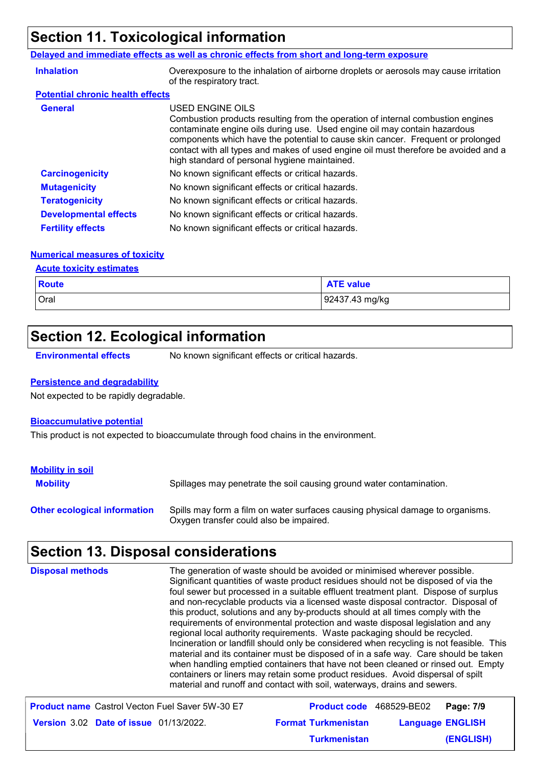# **Section 11. Toxicological information**

#### **Delayed and immediate effects as well as chronic effects from short and long-term exposure**

| <b>Inhalation</b>                       | Overexposure to the inhalation of airborne droplets or aerosols may cause irritation<br>of the respiratory tract.                                                                                                                                                                                                                                                                                           |
|-----------------------------------------|-------------------------------------------------------------------------------------------------------------------------------------------------------------------------------------------------------------------------------------------------------------------------------------------------------------------------------------------------------------------------------------------------------------|
| <b>Potential chronic health effects</b> |                                                                                                                                                                                                                                                                                                                                                                                                             |
| <b>General</b>                          | USED ENGINE OILS<br>Combustion products resulting from the operation of internal combustion engines<br>contaminate engine oils during use. Used engine oil may contain hazardous<br>components which have the potential to cause skin cancer. Frequent or prolonged<br>contact with all types and makes of used engine oil must therefore be avoided and a<br>high standard of personal hygiene maintained. |
| <b>Carcinogenicity</b>                  | No known significant effects or critical hazards.                                                                                                                                                                                                                                                                                                                                                           |
| <b>Mutagenicity</b>                     | No known significant effects or critical hazards.                                                                                                                                                                                                                                                                                                                                                           |
| <b>Teratogenicity</b>                   | No known significant effects or critical hazards.                                                                                                                                                                                                                                                                                                                                                           |
| <b>Developmental effects</b>            | No known significant effects or critical hazards.                                                                                                                                                                                                                                                                                                                                                           |
| <b>Fertility effects</b>                | No known significant effects or critical hazards.                                                                                                                                                                                                                                                                                                                                                           |

#### **Numerical measures of toxicity**

#### **Acute toxicity estimates**

| <b>Route</b> | <b>ATE value</b> |
|--------------|------------------|
| Oral         | 92437.43 mg/kg   |

# **Section 12. Ecological information**

**Environmental effects** No known significant effects or critical hazards.

#### **Persistence and degradability**

Not expected to be rapidly degradable.

#### **Bioaccumulative potential**

This product is not expected to bioaccumulate through food chains in the environment.

| <b>Mobility in soil</b>             |                                                                                                                           |
|-------------------------------------|---------------------------------------------------------------------------------------------------------------------------|
| <b>Mobility</b>                     | Spillages may penetrate the soil causing ground water contamination.                                                      |
| <b>Other ecological information</b> | Spills may form a film on water surfaces causing physical damage to organisms.<br>Oxygen transfer could also be impaired. |

# **Section 13. Disposal considerations**

| <b>Disposal methods</b>                                | The generation of waste should be avoided or minimised wherever possible.<br>Significant quantities of waste product residues should not be disposed of via the<br>foul sewer but processed in a suitable effluent treatment plant. Dispose of surplus<br>and non-recyclable products via a licensed waste disposal contractor. Disposal of<br>this product, solutions and any by-products should at all times comply with the<br>requirements of environmental protection and waste disposal legislation and any<br>regional local authority requirements. Waste packaging should be recycled.<br>Incineration or landfill should only be considered when recycling is not feasible. This<br>material and its container must be disposed of in a safe way. Care should be taken<br>when handling emptied containers that have not been cleaned or rinsed out. Empty<br>containers or liners may retain some product residues. Avoid dispersal of spilt<br>material and runoff and contact with soil, waterways, drains and sewers. |                         |
|--------------------------------------------------------|-------------------------------------------------------------------------------------------------------------------------------------------------------------------------------------------------------------------------------------------------------------------------------------------------------------------------------------------------------------------------------------------------------------------------------------------------------------------------------------------------------------------------------------------------------------------------------------------------------------------------------------------------------------------------------------------------------------------------------------------------------------------------------------------------------------------------------------------------------------------------------------------------------------------------------------------------------------------------------------------------------------------------------------|-------------------------|
| <b>Product name</b> Castrol Vecton Fuel Saver 5W-30 E7 | <b>Product code</b> 468529-BE02                                                                                                                                                                                                                                                                                                                                                                                                                                                                                                                                                                                                                                                                                                                                                                                                                                                                                                                                                                                                     | Page: 7/9               |
| <b>Version 3.02 Date of issue 01/13/2022.</b>          | <b>Format Turkmenistan</b>                                                                                                                                                                                                                                                                                                                                                                                                                                                                                                                                                                                                                                                                                                                                                                                                                                                                                                                                                                                                          | <b>Language ENGLISH</b> |
|                                                        | Turkmenistan                                                                                                                                                                                                                                                                                                                                                                                                                                                                                                                                                                                                                                                                                                                                                                                                                                                                                                                                                                                                                        | <b>(ENGLISH)</b>        |

**(ENGLISH)**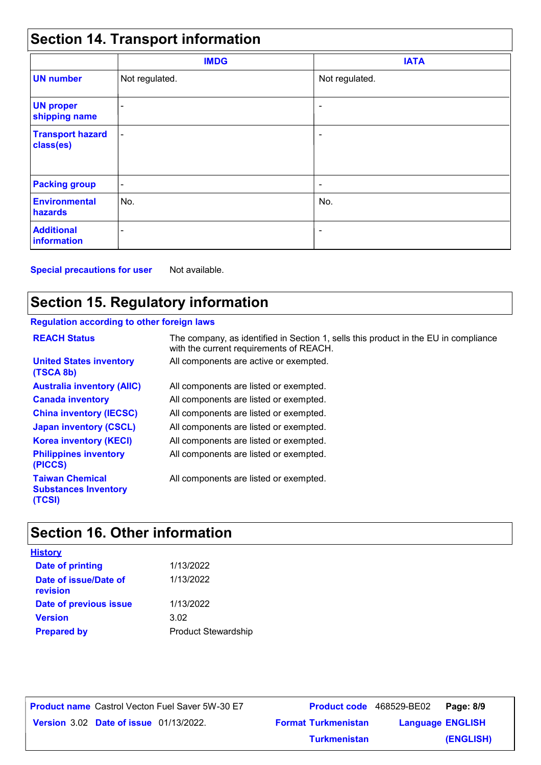# **Section 14. Transport information**

|                                      | <b>IMDG</b>              | <b>IATA</b>              |  |
|--------------------------------------|--------------------------|--------------------------|--|
| <b>UN number</b>                     | Not regulated.           | Not regulated.           |  |
| <b>UN proper</b><br>shipping name    | $\overline{\phantom{0}}$ | $\overline{\phantom{0}}$ |  |
| <b>Transport hazard</b><br>class(es) | $\blacksquare$           | ۰                        |  |
| <b>Packing group</b>                 | $\overline{\phantom{a}}$ | ۰                        |  |
| <b>Environmental</b><br>hazards      | No.                      | No.                      |  |
| <b>Additional</b><br>information     | $\overline{\phantom{0}}$ | $\overline{\phantom{a}}$ |  |

**Special precautions for user** Not available.

# **Section 15. Regulatory information**

#### **Regulation according to other foreign laws**

| <b>REACH Status</b>                                             | The company, as identified in Section 1, sells this product in the EU in compliance<br>with the current requirements of REACH. |
|-----------------------------------------------------------------|--------------------------------------------------------------------------------------------------------------------------------|
| <b>United States inventory</b><br>(TSCA 8b)                     | All components are active or exempted.                                                                                         |
| <b>Australia inventory (AIIC)</b>                               | All components are listed or exempted.                                                                                         |
| <b>Canada inventory</b>                                         | All components are listed or exempted.                                                                                         |
| <b>China inventory (IECSC)</b>                                  | All components are listed or exempted.                                                                                         |
| <b>Japan inventory (CSCL)</b>                                   | All components are listed or exempted.                                                                                         |
| <b>Korea inventory (KECI)</b>                                   | All components are listed or exempted.                                                                                         |
| <b>Philippines inventory</b><br>(PICCS)                         | All components are listed or exempted.                                                                                         |
| <b>Taiwan Chemical</b><br><b>Substances Inventory</b><br>(TCSI) | All components are listed or exempted.                                                                                         |

# **Section 16. Other information**

| <b>History</b>                    |                            |
|-----------------------------------|----------------------------|
| <b>Date of printing</b>           | 1/13/2022                  |
| Date of issue/Date of<br>revision | 1/13/2022                  |
| Date of previous issue            | 1/13/2022                  |
| <b>Version</b>                    | 3.02                       |
| <b>Prepared by</b>                | <b>Product Stewardship</b> |

**Date of issue** 01/13/2022. **Version** 3.02 **Format Turkmenistan Language Product name** Castrol Vecton Fuel Saver 5W-30 E7 **Product code** 468529-BE02 **Page: 8/9** | **Language ENGLISH (ENGLISH)** Product code 468529-BE02 Page: 8/9 **Turkmenistan**